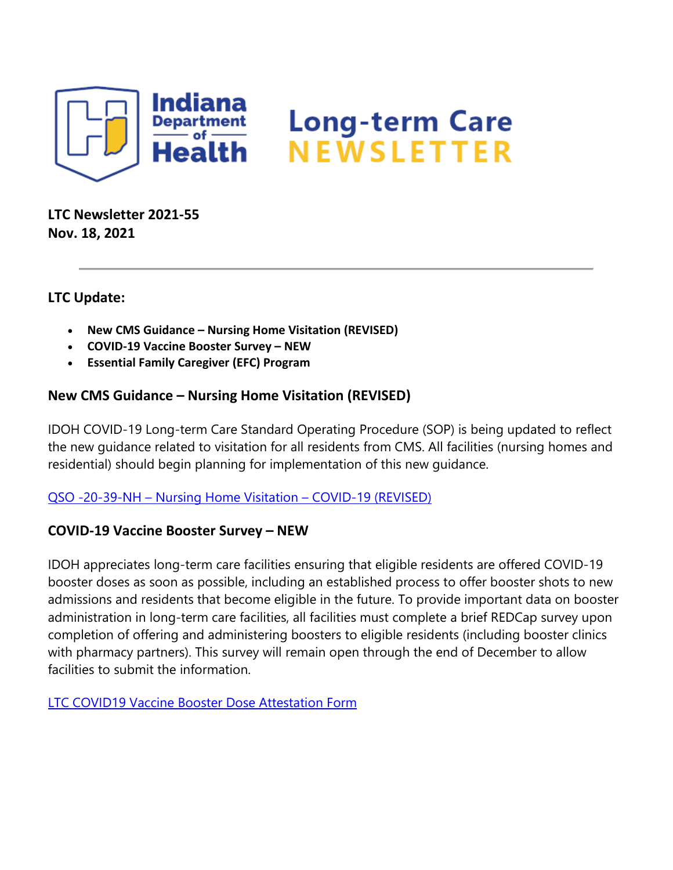

**LTC Newsletter 2021-55 Nov. 18, 2021**

# **LTC Update:**

- **New CMS Guidance – Nursing Home Visitation (REVISED)**
- **COVID-19 Vaccine Booster Survey – NEW**
- **Essential Family Caregiver (EFC) Program**

# **New CMS Guidance – Nursing Home Visitation (REVISED)**

IDOH COVID-19 Long-term Care Standard Operating Procedure (SOP) is being updated to reflect the new guidance related to visitation for all residents from CMS. All facilities (nursing homes and residential) should begin planning for implementation of this new guidance.

### QSO -20-39-NH – [Nursing Home Visitation –](https://protect2.fireeye.com/v1/url?k=972315b7-c8b82cfc-97275cb7-867c6b071c6f-907cf7154b9aea9f&q=1&e=f7caeafc-e311-4b7d-b09b-9bfcead5786f&u=https%3A%2F%2Flnks.gd%2Fl%2FeyJhbGciOiJIUzI1NiJ9.eyJidWxsZXRpbl9saW5rX2lkIjoxMDAsInVyaSI6ImJwMjpjbGljayIsImJ1bGxldGluX2lkIjoiMjAyMTExMTguNDkwNjI3NzEiLCJ1cmwiOiJodHRwczovL3d3dy5jbXMuZ292L2ZpbGVzL2RvY3VtZW50L3Fzby0yMC0zOS1uaC1yZXZpc2VkLnBkZiJ9.seIH3Ag4j2pbBqDCmL3eq3XIYS_GR1iqu5UpI34q3EE%2Fs%2F1439130268%2Fbr%2F121282752281-l) COVID-19 (REVISED)

### **COVID-19 Vaccine Booster Survey – NEW**

IDOH appreciates long-term care facilities ensuring that eligible residents are offered COVID-19 booster doses as soon as possible, including an established process to offer booster shots to new admissions and residents that become eligible in the future. To provide important data on booster administration in long-term care facilities, all facilities must complete a brief REDCap survey upon completion of offering and administering boosters to eligible residents (including booster clinics with pharmacy partners). This survey will remain open through the end of December to allow facilities to submit the information.

[LTC COVID19 Vaccine Booster Dose Attestation Form](https://protect2.fireeye.com/v1/url?k=8338f58c-dca3ccc7-833cbc8c-867c6b071c6f-3e8165e0edb4bd9b&q=1&e=f7caeafc-e311-4b7d-b09b-9bfcead5786f&u=https%3A%2F%2Flnks.gd%2Fl%2FeyJhbGciOiJIUzI1NiJ9.eyJidWxsZXRpbl9saW5rX2lkIjoxMDEsInVyaSI6ImJwMjpjbGljayIsImJ1bGxldGluX2lkIjoiMjAyMTExMTguNDkwNjI3NzEiLCJ1cmwiOiJodHRwczovL3JlZGNhcC5pc2RoLmluLmdvdi9zdXJ2ZXlzLz9zPVhNUlBIQUVZTDkifQ.szHN-fhYn0pTrJG_twE9nVoKTTyVS7Ef9bnVP6KFJzU%2Fs%2F1439130268%2Fbr%2F121282752281-l)